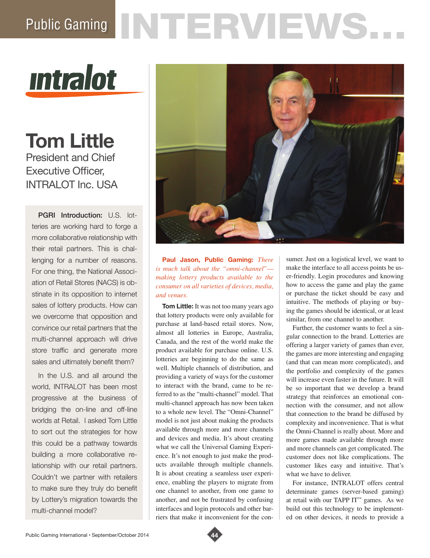## Public Gaming NTERVIEWS.



**Tom Little** President and Chief Executive Officer, INTRALOT Inc. USA

PGRI Introduction: U.S. lotteries are working hard to forge a more collaborative relationship with their retail partners. This is challenging for a number of reasons. For one thing, the National Association of Retail Stores (NACS) is obstinate in its opposition to internet sales of lottery products. How can we overcome that opposition and convince our retail partners that the multi-channel approach will drive store traffic and generate more sales and ultimately benefit them?

In the U.S. and all around the world, INTRALOT has been most progressive at the business of bridging the on-line and off-line worlds at Retail. I asked Tom Little to sort out the strategies for how this could be a pathway towards building a more collaborative relationship with our retail partners. Couldn't we partner with retailers to make sure they truly do benefit by Lottery's migration towards the multi-channel model?



**Paul Jason, Public Gaming:** *There is much talk about the "omni-channel" making lottery products available to the consumer on all varieties of devices, media, and venues.*

**Tom Little:** It was not too many years ago that lottery products were only available for purchase at land-based retail stores. Now, almost all lotteries in Europe, Australia, Canada, and the rest of the world make the product available for purchase online. U.S. lotteries are beginning to do the same as well. Multiple channels of distribution, and providing a variety of ways for the customer to interact with the brand, came to be referred to as the "multi-channel" model. That multi-channel approach has now been taken to a whole new level. The "Omni-Channel" model is not just about making the products available through more and more channels and devices and media. It's about creating what we call the Universal Gaming Experience. It's not enough to just make the products available through multiple channels. It is about creating a seamless user experience, enabling the players to migrate from one channel to another, from one game to another, and not be frustrated by confusing interfaces and login protocols and other barriers that make it inconvenient for the consumer. Just on a logistical level, we want to make the interface to all access points be user-friendly. Login procedures and knowing how to access the game and play the game or purchase the ticket should be easy and intuitive. The methods of playing or buying the games should be identical, or at least similar, from one channel to another.

Further, the customer wants to feel a singular connection to the brand. Lotteries are offering a larger variety of games than ever, the games are more interesting and engaging (and that can mean more complicated), and the portfolio and complexity of the games will increase even faster in the future. It will be so important that we develop a brand strategy that reinforces an emotional connection with the consumer, and not allow that connection to the brand be diffused by complexity and inconvenience. That is what the Omni-Channel is really about. More and more games made available through more and more channels can get complicated. The customer does not like complications. The customer likes easy and intuitive. That's what we have to deliver.

For instance, INTRALOT offers central determinate games (server-based gaming) at retail with our TAPP IT<sup>™</sup> games. As we build out this technology to be implemented on other devices, it needs to provide a

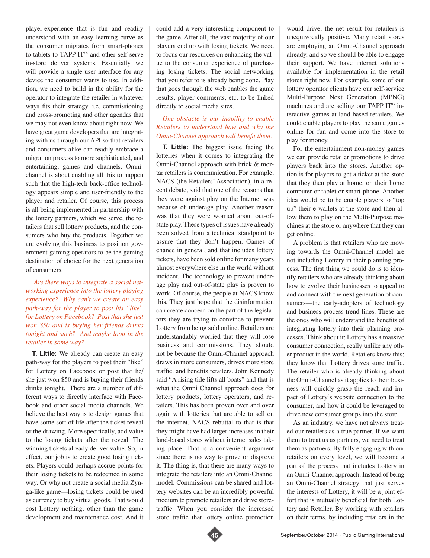player-experience that is fun and readily understood with an easy learning curve as the consumer migrates from smart-phones to tablets to TAPP IT™ and other self-serve in-store deliver systems. Essentially we will provide a single user interface for any device the consumer wants to use. In addition, we need to build in the ability for the operator to integrate the retailer in whatever ways fits their strategy, i.e. commissioning and cross-promoting and other agendas that we may not even know about right now. We have great game developers that are integrating with us through our API so that retailers and consumers alike can readily embrace a migration process to more sophisticated, and entertaining, games and channels. Omnichannel is about enabling all this to happen such that the high-tech back-office technology appears simple and user-friendly to the player and retailer. Of course, this process is all being implemented in partnership with the lottery partners, which we serve, the retailers that sell lottery products, and the consumers who buy the products. Together we are evolving this business to position government-gaming operators to be the gaming destination of choice for the next generation of consumers.

## *Are there ways to integrate a social networking experience into the lottery playing experience? Why can't we create an easy path-way for the player to post his "like" for Lottery on Facebook? Post that she just won \$50 and is buying her friends drinks tonight and such? And maybe loop in the retailer in some way?*

**T. Little:** We already can create an easy path-way for the players to post their "like" for Lottery on Facebook or post that he/ she just won \$50 and is buying their friends drinks tonight. There are a number of different ways to directly interface with Facebook and other social media channels. We believe the best way is to design games that have some sort of life after the ticket reveal or the drawing. More specifically, add value to the losing tickets after the reveal. The winning tickets already deliver value. So, in effect, our job is to create good losing tickets. Players could perhaps accrue points for their losing tickets to be redeemed in some way. Or why not create a social media Zynga-like game—losing tickets could be used as currency to buy virtual goods. That would cost Lottery nothing, other than the game development and maintenance cost. And it

could add a very interesting component to the game. After all, the vast majority of our players end up with losing tickets. We need to focus our resources on enhancing the value to the consumer experience of purchasing losing tickets. The social networking that you refer to is already being done. Play that goes through the web enables the game results, player comments, etc. to be linked directly to social media sites.

## *One obstacle is our inability to enable Retailers to understand how and why the Omni-Channel approach will benefit them.*

**T. Little:** The biggest issue facing the lotteries when it comes to integrating the Omni-Channel approach with brick & mortar retailers is communication. For example, NACS (the Retailers' Association), in a recent debate, said that one of the reasons that they were against play on the Internet was because of underage play. Another reason was that they were worried about out-ofstate play. These types of issues have already been solved from a technical standpoint to assure that they don't happen. Games of chance in general, and that includes lottery tickets, have been sold online for many years almost everywhere else in the world without incident. The technology to prevent underage play and out-of-state play is proven to work. Of course, the people at NACS know this. They just hope that the disinformation can create concern on the part of the legislators they are trying to convince to prevent Lottery from being sold online. Retailers are understandably worried that they will lose business and commissions. They should not be because the Omni-Channel approach draws in more consumers, drives more store traffic, and benefits retailers. John Kennedy said "A rising tide lifts all boats" and that is what the Omni Channel approach does for lottery products, lottery operators, and retailers. This has been proven over and over again with lotteries that are able to sell on the internet. NACS rebuttal to that is that they might have had larger increases in their land-based stores without internet sales taking place. That is a convenient argument since there is no way to prove or disprove it. The thing is, that there are many ways to integrate the retailers into an Omni-Channel model. Commissions can be shared and lottery websites can be an incredibly powerful medium to promote retailers and drive storetraffic. When you consider the increased store traffic that lottery online promotion

would drive, the net result for retailers is unequivocally positive. Many retail stores are employing an Omni-Channel approach already, and so we should be able to engage their support. We have internet solutions available for implementation in the retail stores right now. For example, some of our lottery operator clients have our self-service Multi-Purpose Next Generation (MPNG) machines and are selling our TAPP IT™ interactive games at land-based retailers. We could enable players to play the same games online for fun and come into the store to play for money.

For the entertainment non-money games we can provide retailer promotions to drive players back into the stores. Another option is for players to get a ticket at the store that they then play at home, on their home computer or tablet or smart-phone. Another idea would be to be enable players to "top up" their e-wallets at the store and then allow them to play on the Multi-Purpose machines at the store or anywhere that they can get online.

A problem is that retailers who are moving towards the Omni-Channel model are not including Lottery in their planning process. The first thing we could do is to identify retailers who are already thinking about how to evolve their businesses to appeal to and connect with the next generation of consumers—the early-adopters of technology and business process trend-lines. These are the ones who will understand the benefits of integrating lottery into their planning processes. Think about it: Lottery has a massive consumer connection, really unlike any other product in the world. Retailers know this; they know that Lottery drives store traffic. The retailer who is already thinking about the Omni-Channel as it applies to their business will quickly grasp the reach and impact of Lottery's website connection to the consumer, and how it could be leveraged to drive new consumer groups into the store.

As an industry, we have not always treated our retailers as a true partner. If we want them to treat us as partners, we need to treat them as partners. By fully engaging with our retailers on every level, we will become a part of the process that includes Lottery in an Omni-Channel approach. Instead of being an Omni-Channel strategy that just serves the interests of Lottery, it will be a joint effort that is mutually beneficial for both Lottery and Retailer. By working with retailers on their terms, by including retailers in the